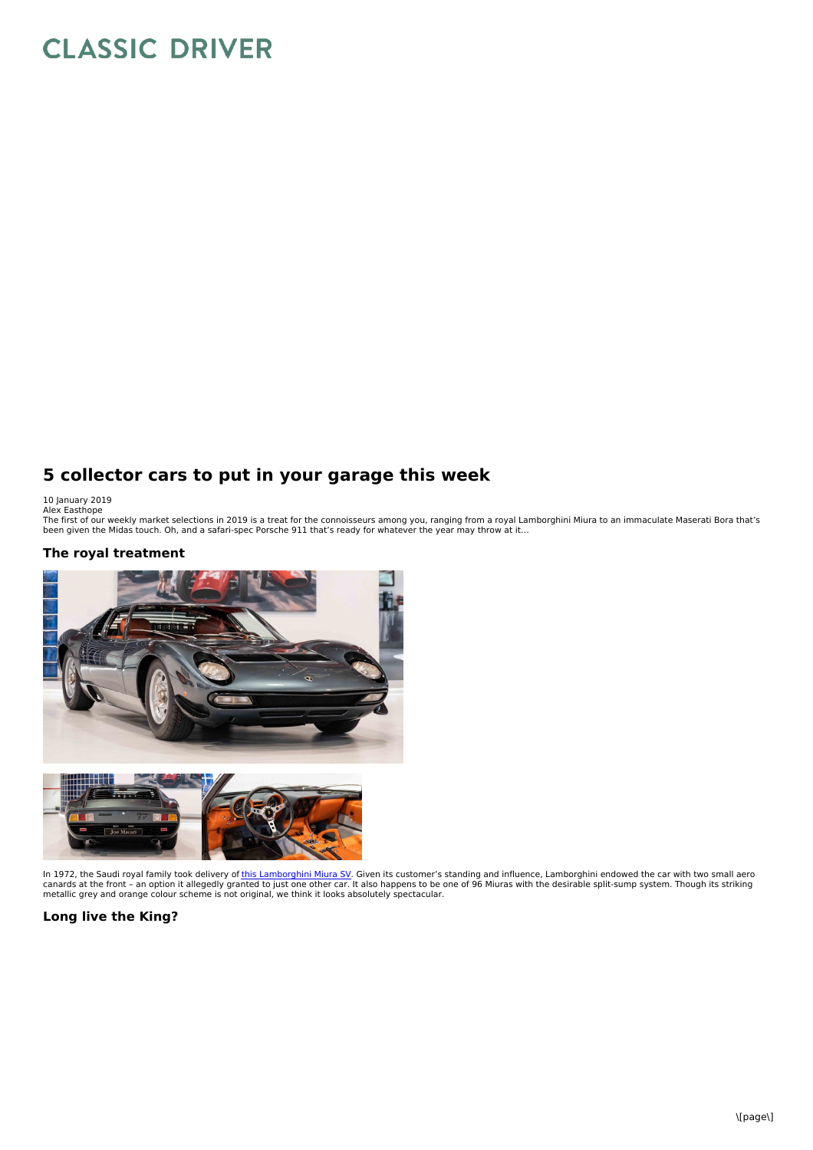# **CLASSIC DRIVER**

## **5 collector cars to put in your garage this week**

10 January 2019<br>Alex Easthope<br>The first of our weekly market selections in 2019 is a treat for the connoisseurs among you, ranging from a royal Lamborghini Miura to an immaculate Maserati Bora that's<br>The first of our weekl

#### **The royal treatment**



In 1972, the Saudi royal family took delivery of <u>this [Lamborghini](https://www.classicdriver.com/en/car/lamborghini/miura/1972/603679) Miura SV</u>. Given its customer's standing and influence, Lamborghini endowed the car with two small aero<br>canards at the front – an option it allegedly grant

#### **Long live the King?**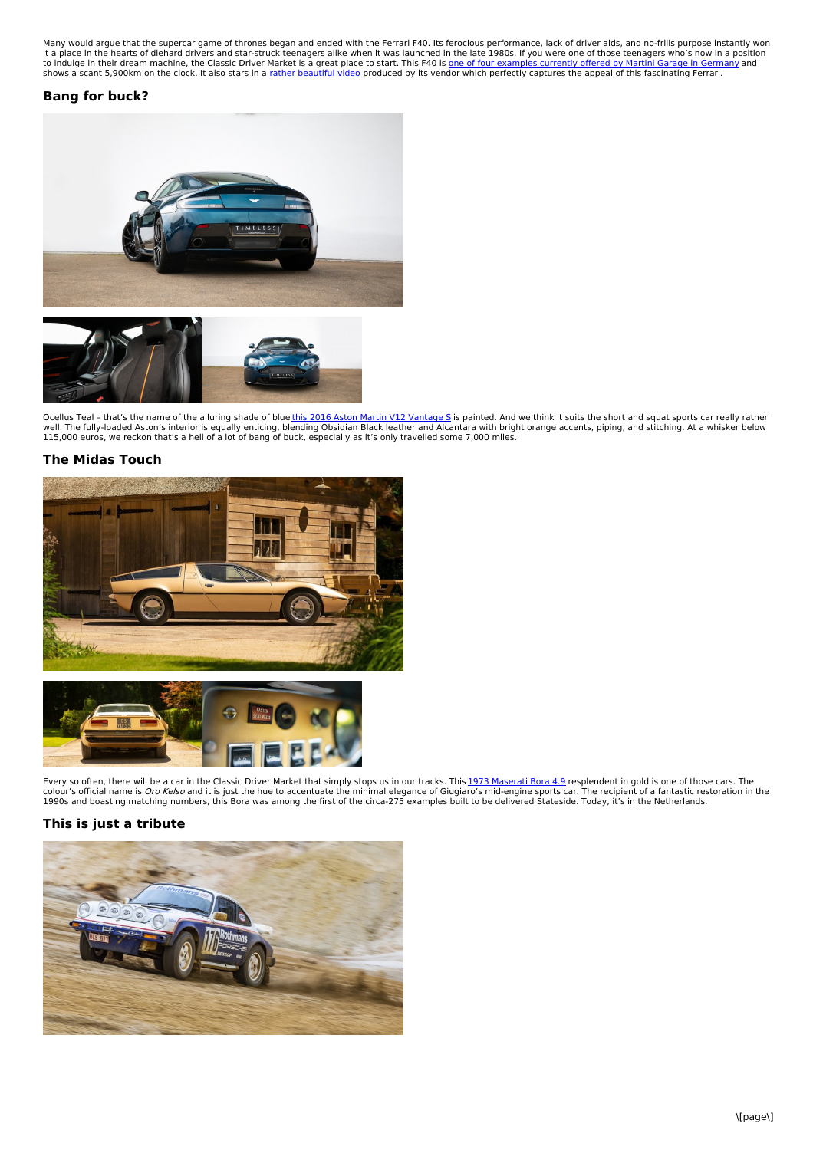Many would argue that the supercar game of thrones began and ended with the Ferrari F40. Its ferocious performance, lack of driver aids, and no-frills purpose instantly won<br>it a place in the hearts of diehard drivers and s

#### **Bang for buck?**



Ocellus Teal - that's the name of the alluring shade of blue<u>this 2016 Aston Martin V12 [Vantage](https://www.classicdriver.com/en/car/aston-martin/v12-vantage/2016/608673) S</u> is painted. And we think it suits the short and squat sports car really rather<br>well. The fully-loaded Aston's interior is e

### **The Midas Touch**





Every so often, there will be a car in the Classic Driver Market that simply stops us in our tracks. This <u>1973 [Maserati](https://www.classicdriver.com/en/car/maserati/bora/1973/608813) Bora 4.9</u> resplendent in gold is one of those cars. The<br>colour's official name is *Oro Kelso* and it

#### **This is just a tribute**